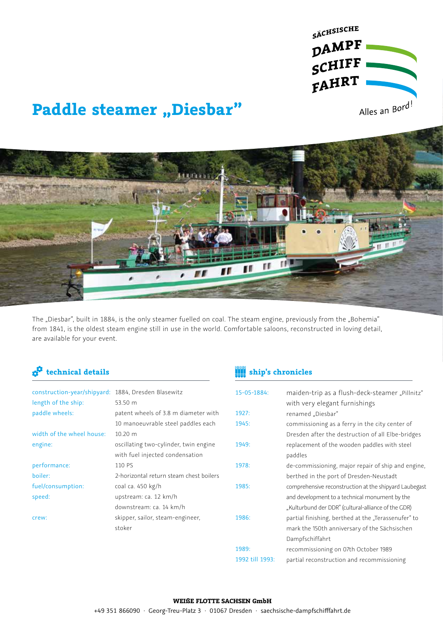

# **Paddle steamer "Diesbar"**



The "Diesbar", built in 1884, is the only steamer fuelled on coal. The steam engine, previously from the "Bohemia" from 1841, is the oldest steam engine still in use in the world. Comfortable saloons, reconstructed in loving detail, are available for your event.

## **technical details ship's chronicles**

| construction-year/shipyard: 1884, Dresden Blasewitz<br>length of the ship: | 53.50 m                                 | 15-05-1884:     | maiden-trip as a flush-deck-steamer "Pillnitz"<br>with very elegant furnishings |
|----------------------------------------------------------------------------|-----------------------------------------|-----------------|---------------------------------------------------------------------------------|
| paddle wheels:                                                             | patent wheels of 3.8 m diameter with    | 1927:           | renamed "Diesbar"                                                               |
|                                                                            | 10 manoeuvrable steel paddles each      | 1945:           | commissioning as a ferry in the city center of                                  |
| width of the wheel house:                                                  | $10.20 \text{ m}$                       |                 | Dresden after the destruction of all Elbe-bridges                               |
| engine:                                                                    | oscillating two-cylinder, twin engine   | 1949:           | replacement of the wooden paddles with steel                                    |
|                                                                            | with fuel injected condensation         |                 | paddles                                                                         |
| performance:                                                               | 110 PS                                  | 1978:           | de-commissioning, major repair of ship and engine,                              |
| boiler:                                                                    | 2-horizontal return steam chest boilers |                 | berthed in the port of Dresden-Neustadt                                         |
| fuel/consumption:                                                          | coal ca. 450 kg/h                       | 1985:           | comprehensive reconstruction at the shipyard Laubegast                          |
| speed:                                                                     | upstream: ca. 12 km/h                   |                 | and development to a technical monument by the                                  |
|                                                                            | downstream: ca. 14 km/h                 |                 | "Kulturbund der DDR" (cultural-alliance of the GDR)                             |
| crew:                                                                      | skipper, sailor, steam-engineer,        | 1986:           | partial finishing, berthed at the "Terassenufer" to                             |
|                                                                            | stoker                                  |                 | mark the 150th anniversary of the Sächsischen                                   |
|                                                                            |                                         |                 | Dampfschiffahrt                                                                 |
|                                                                            |                                         | 1989:           | recommissioning on 07th October 1989                                            |
|                                                                            |                                         | 1992 till 1993: | partial reconstruction and recommissioning                                      |